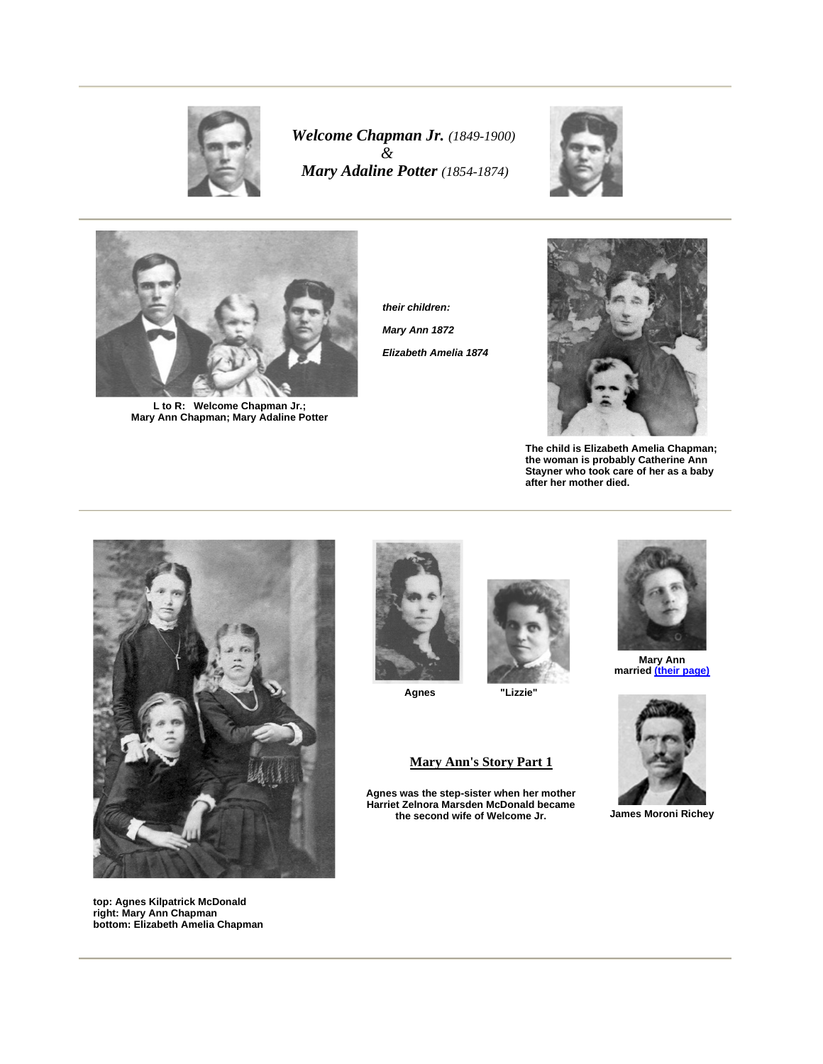

*Welcome Chapman Jr. (1849-1900) & Mary Adaline Potter (1854-1874)*





 **L to R: Welcome Chapman Jr.; Mary Ann Chapman; Mary Adaline Potter**

**their children: Mary Ann 1872 Elizabeth Amelia 1874**



**The child is Elizabeth Amelia Chapman; the woman is probably Catherine Ann Stayner who took care of her as a baby after her mother died.** 



**top: Agnes Kilpatrick McDonald right: Mary Ann Chapman bottom: Elizabeth Amelia Chapman** 





**Agnes "Lizzie"** 

## **Mary Ann's Story Part 1**

**Agnes was the step-sister when her mother Harriet Zelnora Marsden McDonald became the second wife of Welcome Jr.** 



**Mary Ann married (their page)**



**James Moroni Richey**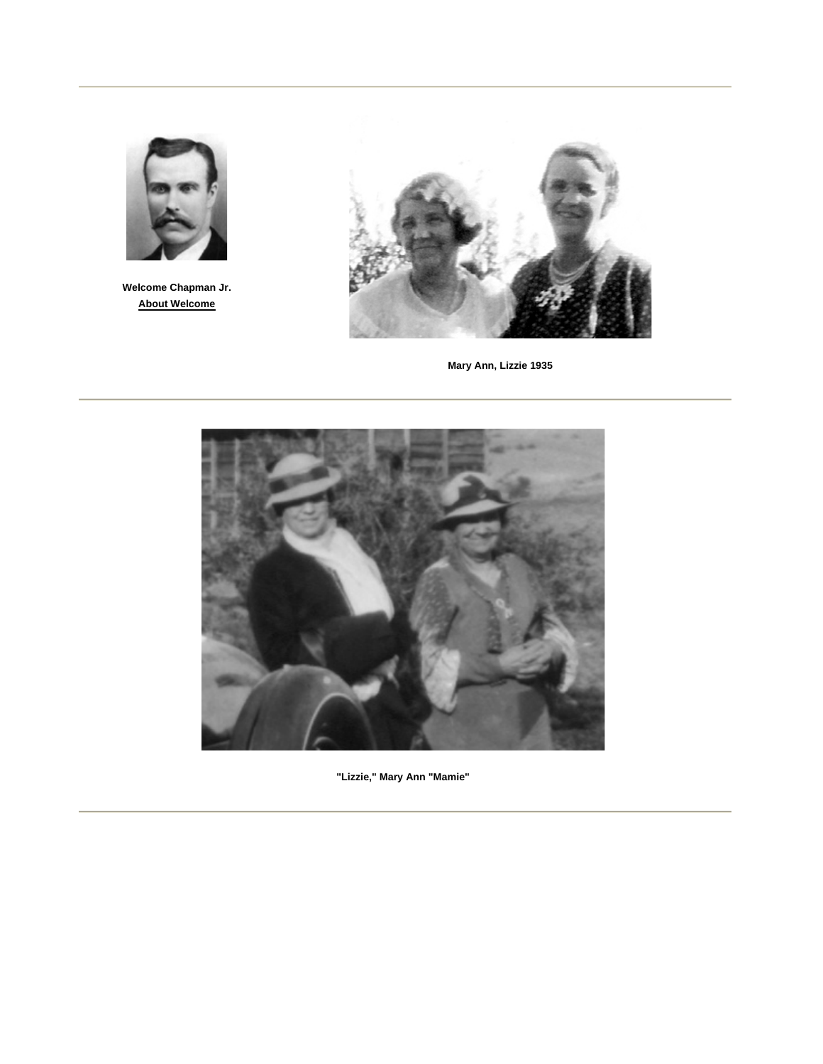

**Welcome Chapman Jr. About Welcome**



**Mary Ann, Lizzie 1935**



**"Lizzie," Mary Ann "Mamie"**